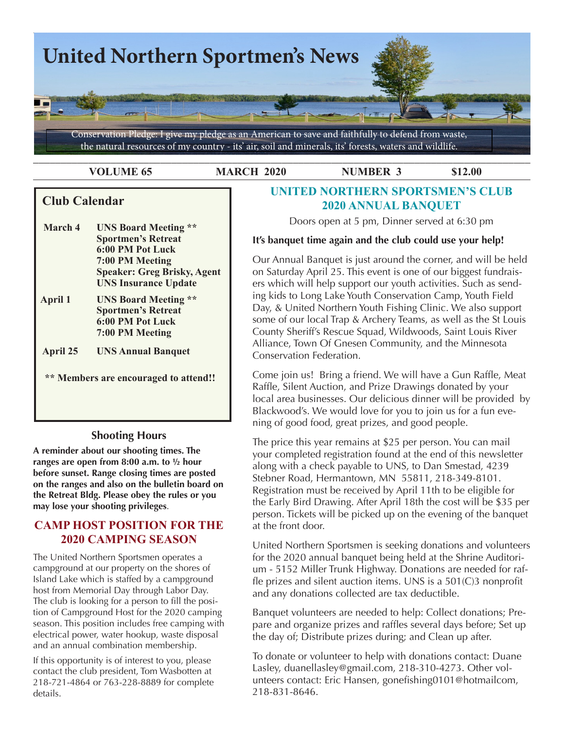

**VOLUME 65 MARCH 2020 NUMBER 3 \$12.00** 

# **Club Calendar**

 **March 4 UNS Board Meeting \*\* Sportmen's Retreat 6:00 PM Pot Luck 7:00 PM Meeting Speaker: Greg Brisky, Agent UNS Insurance Update April 1 UNS Board Meeting \*\* Sportmen's Retreat**

 **6:00 PM Pot Luck 7:00 PM Meeting April 25 UNS Annual Banquet**

 **\*\* Members are encouraged to attend!!**

### **Shooting Hours**

**A reminder about our shooting times. The ranges are open from 8:00 a.m. to ½ hour before sunset. Range closing times are posted on the ranges and also on the bulletin board on the Retreat Bldg. Please obey the rules or you may lose your shooting privileges**.

# **CAMP HOST POSITION FOR THE 2020 CAMPING SEASON**

The United Northern Sportsmen operates a campground at our property on the shores of Island Lake which is staffed by a campground host from Memorial Day through Labor Day. The club is looking for a person to fill the position of Campground Host for the 2020 camping season. This position includes free camping with electrical power, water hookup, waste disposal and an annual combination membership.

If this opportunity is of interest to you, please contact the club president, Tom Wasbotten at 218-721-4864 or 763-228-8889 for complete details.

# **UNITED NORTHERN SPORTSMEN'S CLUB 2020 ANNUAL BANQUET**

Doors open at 5 pm, Dinner served at 6:30 pm

### **It's banquet time again and the club could use your help!**

Our Annual Banquet is just around the corner, and will be held on Saturday April 25. This event is one of our biggest fundraisers which will help support our youth activities. Such as sending kids to Long Lake Youth Conservation Camp, Youth Field Day, & United Northern Youth Fishing Clinic. We also support some of our local Trap & Archery Teams, as well as the St Louis County Sheriff's Rescue Squad, Wildwoods, Saint Louis River Alliance, Town Of Gnesen Community, and the Minnesota Conservation Federation.

Come join us! Bring a friend. We will have a Gun Raffle, Meat Raffle, Silent Auction, and Prize Drawings donated by your local area businesses. Our delicious dinner will be provided by Blackwood's. We would love for you to join us for a fun evening of good food, great prizes, and good people.

The price this year remains at \$25 per person. You can mail your completed registration found at the end of this newsletter along with a check payable to UNS, to Dan Smestad, 4239 Stebner Road, Hermantown, MN 55811, 218-349-8101. Registration must be received by April 11th to be eligible for the Early Bird Drawing. After April 18th the cost will be \$35 per person. Tickets will be picked up on the evening of the banquet at the front door.

United Northern Sportsmen is seeking donations and volunteers for the 2020 annual banquet being held at the Shrine Auditorium - 5152 Miller Trunk Highway. Donations are needed for raffle prizes and silent auction items. UNS is a 501(C)3 nonprofit and any donations collected are tax deductible.

Banquet volunteers are needed to help: Collect donations; Prepare and organize prizes and raffles several days before; Set up the day of; Distribute prizes during; and Clean up after.

To donate or volunteer to help with donations contact: Duane Lasley, duanellasley@gmail.com, 218-310-4273. Other volunteers contact: Eric Hansen, gonefishing0101@hotmailcom, 218-831-8646.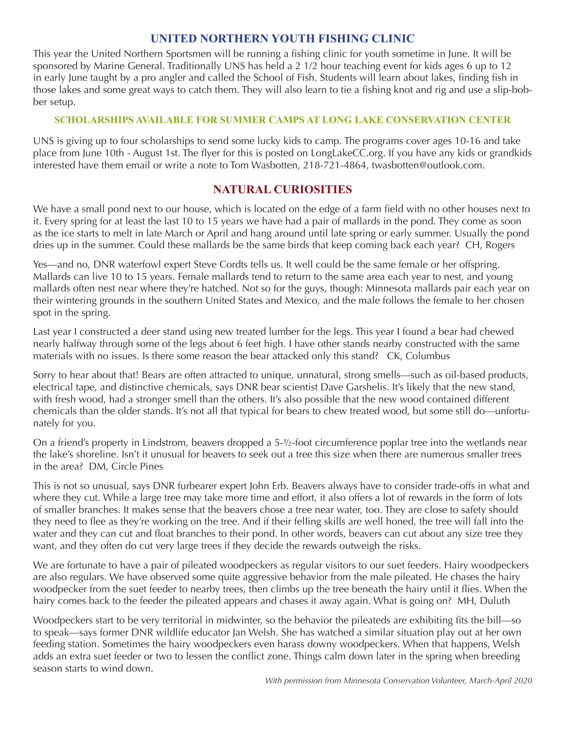# **UNITED NORTHERN YOUTH FISHING CLINIC**

This year the United Northern Sportsmen will be running a fishing clinic for youth sometime in June. It will be sponsored by Marine General. Traditionally UNS has held a 2 1/2 hour teaching event for kids ages 6 up to 12 in early June taught by a pro angler and called the School of Fish. Students will learn about lakes, finding fish in those lakes and some great ways to catch them. They will also learn to tie a fishing knot and rig and use a slip-bobber setup.

### **SCHOLARSHIPS AVAILABLE FOR SUMMER CAMPS AT LONG LAKE CONSERVATION CENTER**

UNS is giving up to four scholarships to send some lucky kids to camp. The programs cover ages 10-16 and take place from June 10th - August 1st. The flyer for this is posted on LongLakeCC.org. If you have any kids or grandkids interested have them email or write a note to Tom Wasbotten, 218-721-4864, twasbotten@outlook.com.

## **NATURAL CURIOSITIES**

We have a small pond next to our house, which is located on the edge of a farm field with no other houses next to it. Every spring for at least the last 10 to 15 years we have had a pair of mallards in the pond. They come as soon as the ice starts to melt in late March or April and hang around until late spring or early summer. Usually the pond dries up in the summer. Could these mallards be the same birds that keep coming back each year? CH, Rogers

Yes—and no, DNR waterfowl expert Steve Cordts tells us. It well could be the same female or her offspring. Mallards can live 10 to 15 years. Female mallards tend to return to the same area each year to nest, and young mallards often nest near where they're hatched. Not so for the guys, though: Minnesota mallards pair each year on their wintering grounds in the southern United States and Mexico, and the male follows the female to her chosen spot in the spring.

Last year I constructed a deer stand using new treated lumber for the legs. This year I found a bear had chewed nearly halfway through some of the legs about 6 feet high. I have other stands nearby constructed with the same materials with no issues. Is there some reason the bear attacked only this stand? CK, Columbus

Sorry to hear about that! Bears are often attracted to unique, unnatural, strong smells—such as oil-based products, electrical tape, and distinctive chemicals, says DNR bear scientist Dave Garshelis. It's likely that the new stand, with fresh wood, had a stronger smell than the others. It's also possible that the new wood contained different chemicals than the older stands. It's not all that typical for bears to chew treated wood, but some still do—unfortunately for you.

On a friend's property in Lindstrom, beavers dropped a 5-½-foot circumference poplar tree into the wetlands near the lake's shoreline. Isn't it unusual for beavers to seek out a tree this size when there are numerous smaller trees in the area? DM, Circle Pines

This is not so unusual, says DNR furbearer expert John Erb. Beavers always have to consider trade-offs in what and where they cut. While a large tree may take more time and effort, it also offers a lot of rewards in the form of lots of smaller branches. It makes sense that the beavers chose a tree near water, too. They are close to safety should they need to flee as they're working on the tree. And if their felling skills are well honed, the tree will fall into the water and they can cut and float branches to their pond. In other words, beavers can cut about any size tree they want, and they often do cut very large trees if they decide the rewards outweigh the risks.

We are fortunate to have a pair of pileated woodpeckers as regular visitors to our suet feeders. Hairy woodpeckers are also regulars. We have observed some quite aggressive behavior from the male pileated. He chases the hairy woodpecker from the suet feeder to nearby trees, then climbs up the tree beneath the hairy until it flies. When the hairy comes back to the feeder the pileated appears and chases it away again. What is going on? MH, Duluth

Woodpeckers start to be very territorial in midwinter, so the behavior the pileateds are exhibiting fits the bill—so to speak—says former DNR wildlife educator Jan Welsh. She has watched a similar situation play out at her own feeding station. Sometimes the hairy woodpeckers even harass downy woodpeckers. When that happens, Welsh adds an extra suet feeder or two to lessen the conflict zone. Things calm down later in the spring when breeding season starts to wind down.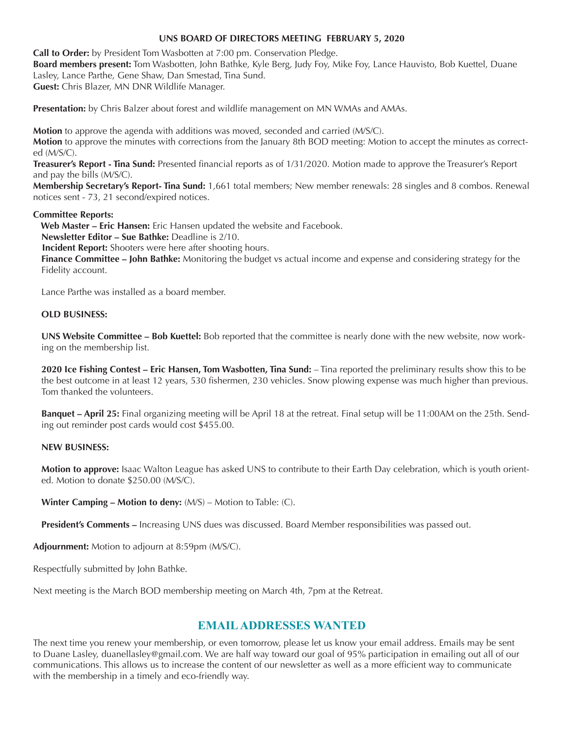#### **UNS BOARD OF DIRECTORS MEETING FEBRUARY 5, 2020**

**Call to Order:** by President Tom Wasbotten at 7:00 pm. Conservation Pledge. **Board members present:** Tom Wasbotten, John Bathke, Kyle Berg, Judy Foy, Mike Foy, Lance Hauvisto, Bob Kuettel, Duane Lasley, Lance Parthe, Gene Shaw, Dan Smestad, Tina Sund. **Guest:** Chris Blazer, MN DNR Wildlife Manager.

**Presentation:** by Chris Balzer about forest and wildlife management on MN WMAs and AMAs.

**Motion** to approve the agenda with additions was moved, seconded and carried (M/S/C).

**Motion** to approve the minutes with corrections from the January 8th BOD meeting: Motion to accept the minutes as corrected (M/S/C).

**Treasurer's Report - Tina Sund:** Presented financial reports as of 1/31/2020. Motion made to approve the Treasurer's Report and pay the bills (M/S/C).

**Membership Secretary's Report- Tina Sund:** 1,661 total members; New member renewals: 28 singles and 8 combos. Renewal notices sent - 73, 21 second/expired notices.

#### **Committee Reports:**

 **Web Master – Eric Hansen:** Eric Hansen updated the website and Facebook.

**Newsletter Editor – Sue Bathke:** Deadline is 2/10.

**Incident Report:** Shooters were here after shooting hours.

**Finance Committee – John Bathke:** Monitoring the budget vs actual income and expense and considering strategy for the Fidelity account.

Lance Parthe was installed as a board member.

#### **OLD BUSINESS:**

**UNS Website Committee – Bob Kuettel:** Bob reported that the committee is nearly done with the new website, now working on the membership list.

**2020 Ice Fishing Contest – Eric Hansen, Tom Wasbotten, Tina Sund:** – Tina reported the preliminary results show this to be the best outcome in at least 12 years, 530 fishermen, 230 vehicles. Snow plowing expense was much higher than previous. Tom thanked the volunteers.

**Banquet – April 25:** Final organizing meeting will be April 18 at the retreat. Final setup will be 11:00AM on the 25th. Sending out reminder post cards would cost \$455.00.

#### **NEW BUSINESS:**

**Motion to approve:** Isaac Walton League has asked UNS to contribute to their Earth Day celebration, which is youth oriented. Motion to donate \$250.00 (M/S/C).

**Winter Camping – Motion to deny:** (M/S) – Motion to Table: (C).

**President's Comments –** Increasing UNS dues was discussed. Board Member responsibilities was passed out.

**Adjournment:** Motion to adjourn at 8:59pm (M/S/C).

Respectfully submitted by John Bathke.

Next meeting is the March BOD membership meeting on March 4th, 7pm at the Retreat.

### **EMAIL ADDRESSES WANTED**

The next time you renew your membership, or even tomorrow, please let us know your email address. Emails may be sent to Duane Lasley, duanellasley@gmail.com. We are half way toward our goal of 95% participation in emailing out all of our communications. This allows us to increase the content of our newsletter as well as a more efficient way to communicate with the membership in a timely and eco-friendly way.